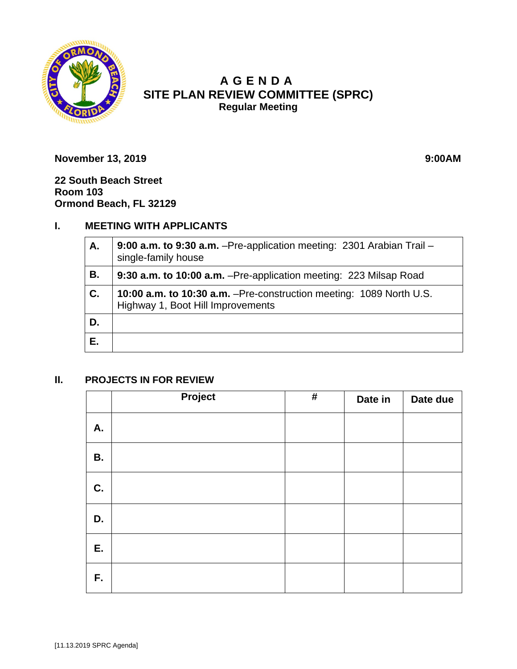

# **A GENDA SITE PLAN REVIEW COMMITTEE (SPRC) Regular Meeting**

**November 13, 2019 9:00AM** 

**22 South Beach Street Room 103 Ormond Beach, FL 32129**

## **I. MEETING WITH APPLICANTS**

| Α. | 9:00 a.m. to 9:30 a.m. - Pre-application meeting: 2301 Arabian Trail -<br>single-family house             |  |
|----|-----------------------------------------------------------------------------------------------------------|--|
| В. | 9:30 a.m. to 10:00 a.m. - Pre-application meeting: 223 Milsap Road                                        |  |
| C. | 10:00 a.m. to 10:30 a.m. - Pre-construction meeting: 1089 North U.S.<br>Highway 1, Boot Hill Improvements |  |
| D. |                                                                                                           |  |
| Е. |                                                                                                           |  |

### **II. PROJECTS IN FOR REVIEW**

|           | Project | $\#$ | Date in | Date due |
|-----------|---------|------|---------|----------|
| A.        |         |      |         |          |
| <b>B.</b> |         |      |         |          |
| C.        |         |      |         |          |
| D.        |         |      |         |          |
| E.        |         |      |         |          |
| F.        |         |      |         |          |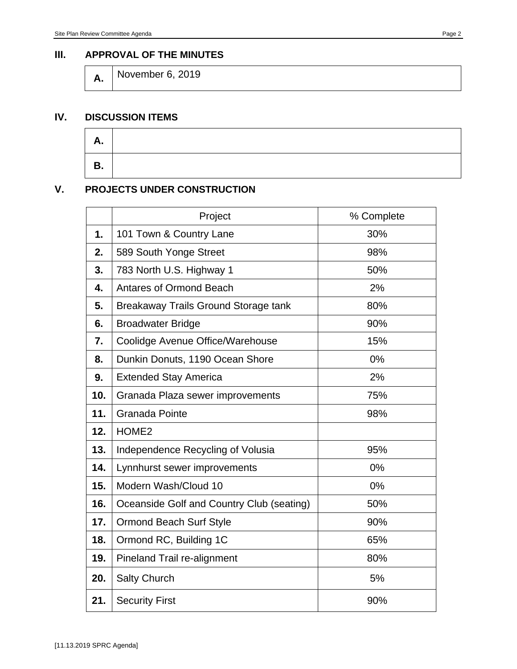#### **III. APPROVAL OF THE MINUTES**

**A.** November 6, 2019

#### **IV. DISCUSSION ITEMS**

| <u>гии</u> |  |
|------------|--|
| B<br>D.    |  |

### **V. PROJECTS UNDER CONSTRUCTION**

|     | Project                                   | % Complete |
|-----|-------------------------------------------|------------|
| 1.  | 101 Town & Country Lane                   | 30%        |
| 2.  | 589 South Yonge Street                    | 98%        |
| 3.  | 783 North U.S. Highway 1                  | 50%        |
| 4.  | <b>Antares of Ormond Beach</b>            | 2%         |
| 5.  | Breakaway Trails Ground Storage tank      | 80%        |
| 6.  | <b>Broadwater Bridge</b>                  | 90%        |
| 7.  | Coolidge Avenue Office/Warehouse          | 15%        |
| 8.  | Dunkin Donuts, 1190 Ocean Shore           | 0%         |
| 9.  | <b>Extended Stay America</b>              | 2%         |
| 10. | Granada Plaza sewer improvements          | 75%        |
| 11. | <b>Granada Pointe</b>                     | 98%        |
| 12. | HOME <sub>2</sub>                         |            |
| 13. | Independence Recycling of Volusia         | 95%        |
| 14. | Lynnhurst sewer improvements              | 0%         |
| 15. | Modern Wash/Cloud 10                      | 0%         |
| 16. | Oceanside Golf and Country Club (seating) | 50%        |
| 17. | <b>Ormond Beach Surf Style</b>            | 90%        |
| 18. | Ormond RC, Building 1C                    | 65%        |
| 19. | Pineland Trail re-alignment               | 80%        |
| 20. | <b>Salty Church</b>                       | 5%         |
| 21. | <b>Security First</b>                     | 90%        |